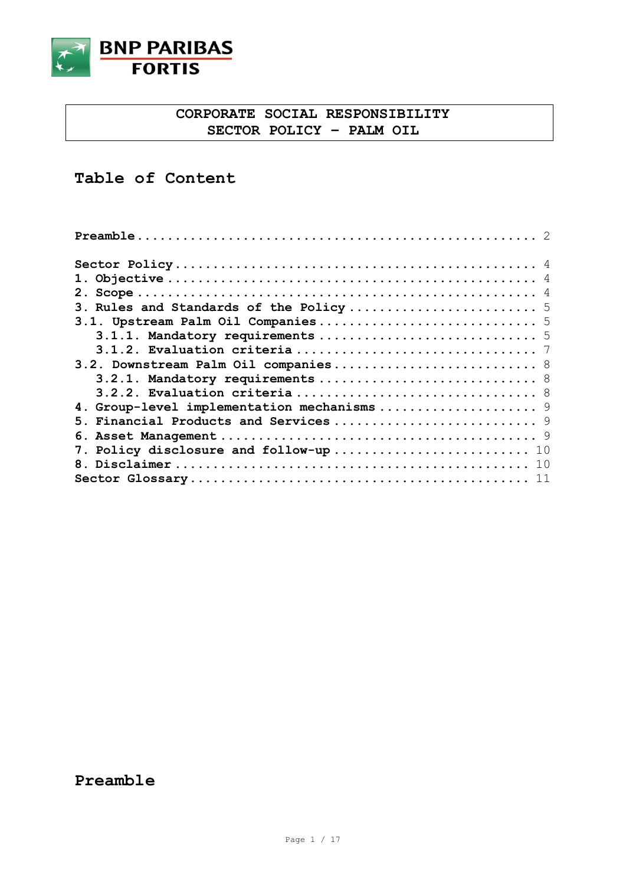

## **CORPORATE SOCIAL RESPONSIBILITY SECTOR POLICY – PALM OIL**

# **Table of Content**

| 1.                                          |
|---------------------------------------------|
| 2 <sub>1</sub>                              |
|                                             |
|                                             |
|                                             |
|                                             |
|                                             |
| 3.2.1. Mandatory requirements  8            |
|                                             |
| 4. Group-level implementation mechanisms  9 |
|                                             |
| 6.                                          |
|                                             |
|                                             |
|                                             |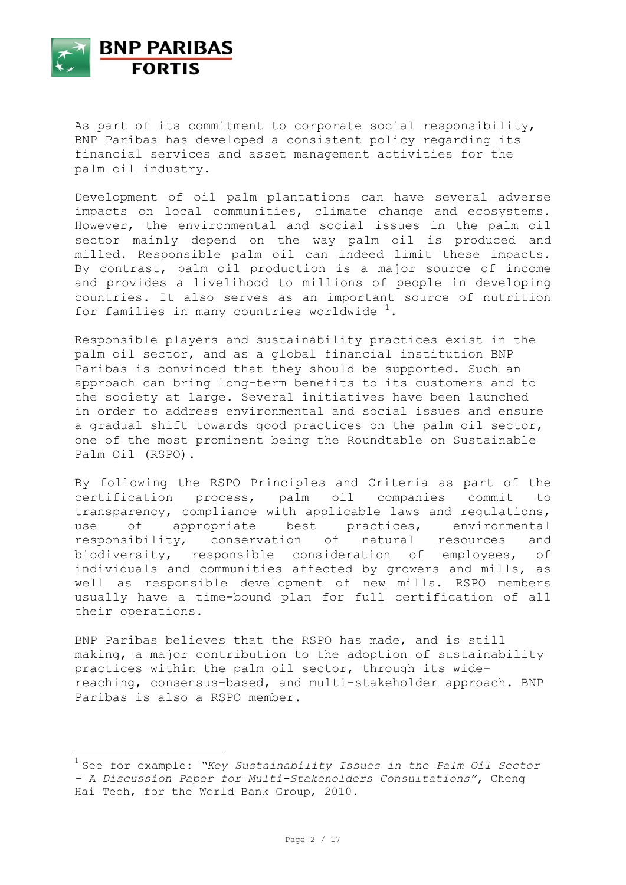

As part of its commitment to corporate social responsibility, BNP Paribas has developed a consistent policy regarding its financial services and asset management activities for the palm oil industry.

Development of oil palm plantations can have several adverse impacts on local communities, climate change and ecosystems. However, the environmental and social issues in the palm oil sector mainly depend on the way palm oil is produced and milled. Responsible palm oil can indeed limit these impacts. By contrast, palm oil production is a major source of income and provides a livelihood to millions of people in developing countries. It also serves as an important source of nutrition for families in many countries worldwide  $1$ .

Responsible players and sustainability practices exist in the palm oil sector, and as a global financial institution BNP Paribas is convinced that they should be supported. Such an approach can bring long-term benefits to its customers and to the society at large. Several initiatives have been launched in order to address environmental and social issues and ensure a gradual shift towards good practices on the palm oil sector, one of the most prominent being the Roundtable on Sustainable Palm Oil (RSPO).

By following the RSPO Principles and Criteria as part of the certification process, palm oil companies commit to transparency, compliance with applicable laws and regulations, use of appropriate best practices, environmental responsibility, conservation of natural resources and biodiversity, responsible consideration of employees, of individuals and communities affected by growers and mills, as well as responsible development of new mills. RSPO members usually have a time-bound plan for full certification of all their operations.

BNP Paribas believes that the RSPO has made, and is still making, a major contribution to the adoption of sustainability practices within the palm oil sector, through its widereaching, consensus-based, and multi-stakeholder approach. BNP Paribas is also a RSPO member.

<sup>1</sup> See for example: *"Key Sustainability Issues in the Palm Oil Sector – A Discussion Paper for Multi-Stakeholders Consultations"*, Cheng Hai Teoh, for the World Bank Group, 2010.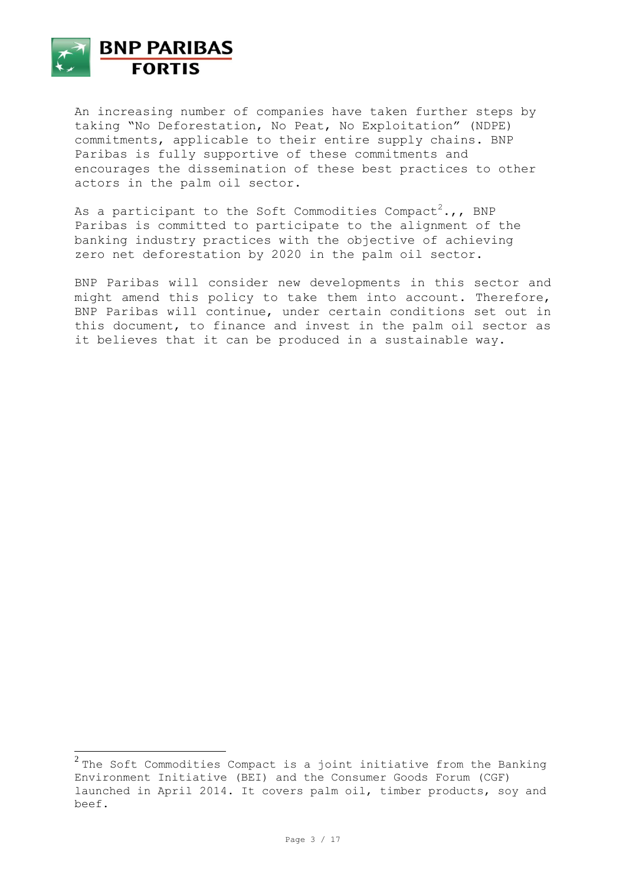

An increasing number of companies have taken further steps by taking "No Deforestation, No Peat, No Exploitation" (NDPE) commitments, applicable to their entire supply chains. BNP Paribas is fully supportive of these commitments and encourages the dissemination of these best practices to other actors in the palm oil sector.

As a participant to the Soft Commodities Compact<sup>2</sup>.,, BNP Paribas is committed to participate to the alignment of the banking industry practices with the objective of achieving zero net deforestation by 2020 in the palm oil sector.

BNP Paribas will consider new developments in this sector and might amend this policy to take them into account. Therefore, BNP Paribas will continue, under certain conditions set out in this document, to finance and invest in the palm oil sector as it believes that it can be produced in a sustainable way.

 $^2$  The Soft Commodities Compact is a joint initiative from the Banking Environment Initiative (BEI) and the Consumer Goods Forum (CGF) launched in April 2014. It covers palm oil, timber products, soy and beef.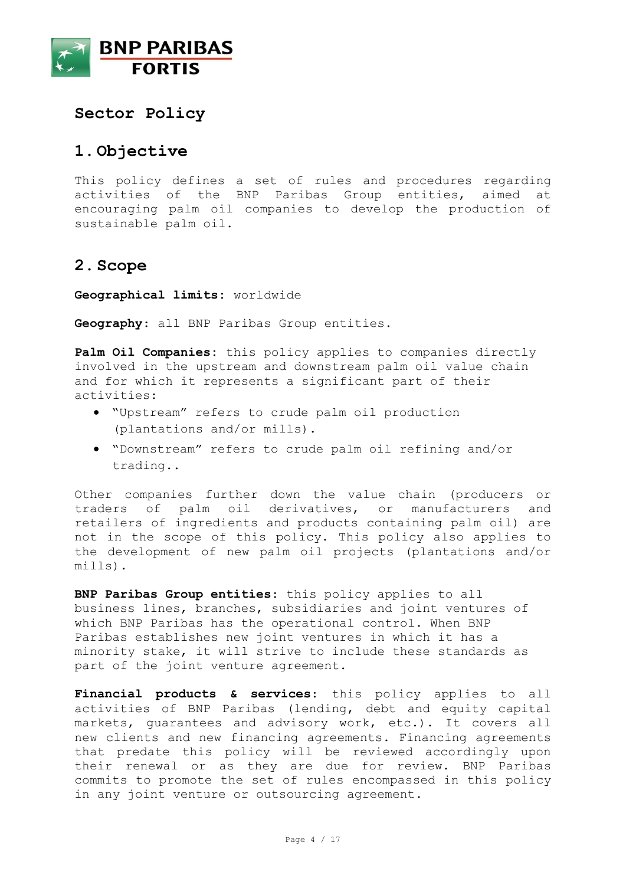

### **Sector Policy**

## **1.Objective**

This policy defines a set of rules and procedures regarding activities of the BNP Paribas Group entities, aimed at encouraging palm oil companies to develop the production of sustainable palm oil.

## **2.Scope**

**Geographical limits:** worldwide

**Geography**: all BNP Paribas Group entities.

**Palm Oil Companies:** this policy applies to companies directly involved in the upstream and downstream palm oil value chain and for which it represents a significant part of their activities:

- "Upstream" refers to crude palm oil production (plantations and/or mills).
- "Downstream" refers to crude palm oil refining and/or trading..

Other companies further down the value chain (producers or traders of palm oil derivatives, or manufacturers and retailers of ingredients and products containing palm oil) are not in the scope of this policy. This policy also applies to the development of new palm oil projects (plantations and/or mills).

**BNP Paribas Group entities**: this policy applies to all business lines, branches, subsidiaries and joint ventures of which BNP Paribas has the operational control. When BNP Paribas establishes new joint ventures in which it has a minority stake, it will strive to include these standards as part of the joint venture agreement.

**Financial products & services**: this policy applies to all activities of BNP Paribas (lending, debt and equity capital markets, guarantees and advisory work, etc.). It covers all new clients and new financing agreements. Financing agreements that predate this policy will be reviewed accordingly upon their renewal or as they are due for review. BNP Paribas commits to promote the set of rules encompassed in this policy in any joint venture or outsourcing agreement.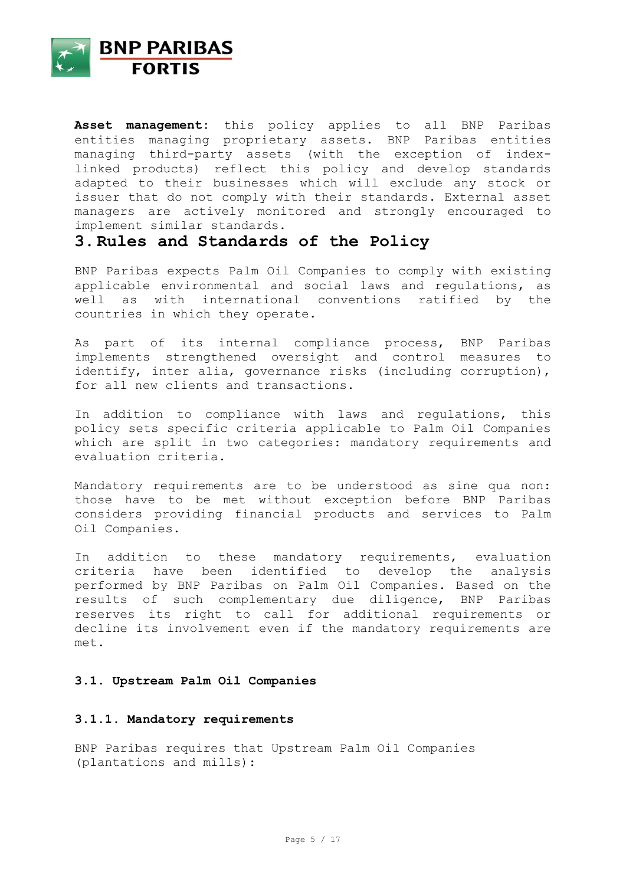

**Asset management:** this policy applies to all BNP Paribas entities managing proprietary assets. BNP Paribas entities managing third-party assets (with the exception of indexlinked products) reflect this policy and develop standards adapted to their businesses which will exclude any stock or issuer that do not comply with their standards. External asset managers are actively monitored and strongly encouraged to implement similar standards.

## **3.Rules and Standards of the Policy**

BNP Paribas expects Palm Oil Companies to comply with existing applicable environmental and social laws and regulations, as well as with international conventions ratified by the countries in which they operate.

As part of its internal compliance process, BNP Paribas implements strengthened oversight and control measures to identify, inter alia, governance risks (including corruption), for all new clients and transactions.

In addition to compliance with laws and regulations, this policy sets specific criteria applicable to Palm Oil Companies which are split in two categories: mandatory requirements and evaluation criteria.

Mandatory requirements are to be understood as sine qua non: those have to be met without exception before BNP Paribas considers providing financial products and services to Palm Oil Companies.

In addition to these mandatory requirements, evaluation criteria have been identified to develop the analysis performed by BNP Paribas on Palm Oil Companies. Based on the results of such complementary due diligence, BNP Paribas reserves its right to call for additional requirements or decline its involvement even if the mandatory requirements are met.

### **3.1. Upstream Palm Oil Companies**

#### **3.1.1. Mandatory requirements**

BNP Paribas requires that Upstream Palm Oil Companies (plantations and mills):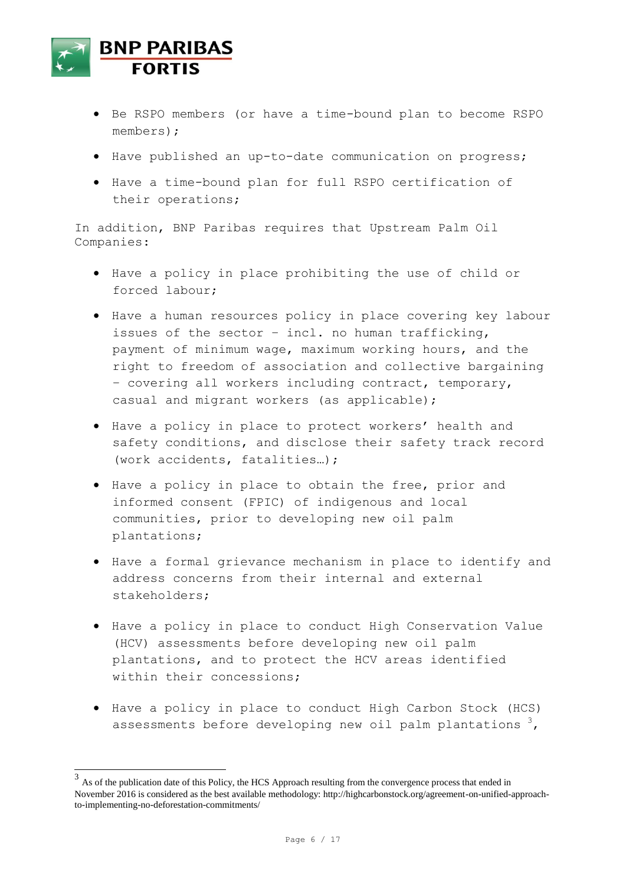

- Be RSPO members (or have a time-bound plan to become RSPO members);
- Have published an up-to-date communication on progress;
- Have a time-bound plan for full RSPO certification of their operations;

In addition, BNP Paribas requires that Upstream Palm Oil Companies:

- Have a policy in place prohibiting the use of child or forced labour;
- Have a human resources policy in place covering key labour issues of the sector – incl. no human trafficking, payment of minimum wage, maximum working hours, and the right to freedom of association and collective bargaining – covering all workers including contract, temporary, casual and migrant workers (as applicable);
- Have a policy in place to protect workers' health and safety conditions, and disclose their safety track record (work accidents, fatalities…);
- Have a policy in place to obtain the free, prior and informed consent (FPIC) of indigenous and local communities, prior to developing new oil palm plantations;
- Have a formal grievance mechanism in place to identify and address concerns from their internal and external stakeholders;
- Have a policy in place to conduct High Conservation Value (HCV) assessments before developing new oil palm plantations, and to protect the HCV areas identified within their concessions;
- Have a policy in place to conduct High Carbon Stock (HCS) assessments before developing new oil palm plantations  $3$ ,

 $3<sup>3</sup>$  As of the publication date of this Policy, the HCS Approach resulting from the convergence process that ended in November 2016 is considered as the best available methodology: http://highcarbonstock.org/agreement-on-unified-approachto-implementing-no-deforestation-commitments/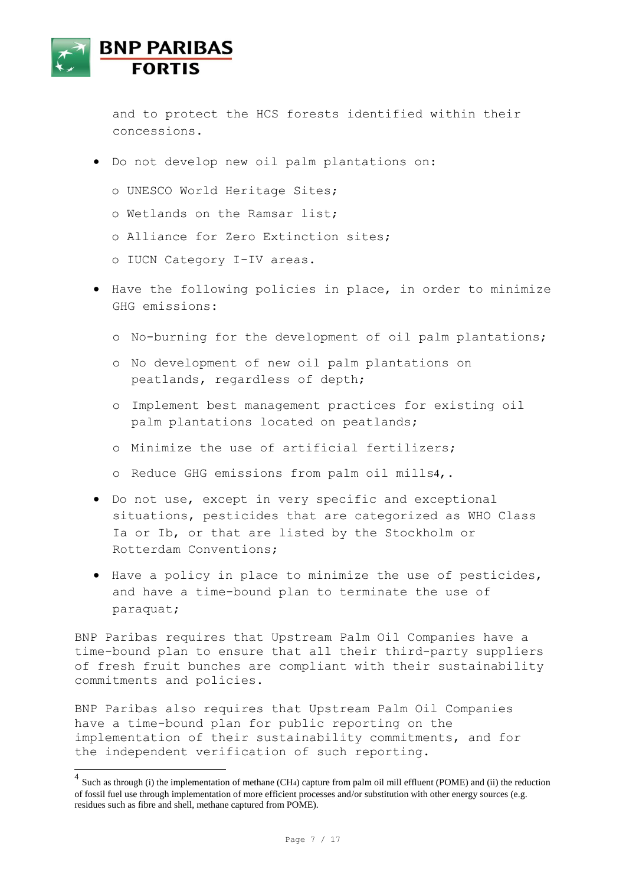

and to protect the HCS forests identified within their concessions.

- Do not develop new oil palm plantations on:
	- o UNESCO World Heritage Sites;
	- o Wetlands on the Ramsar list;
	- o Alliance for Zero Extinction sites;
	- o IUCN Category I-IV areas.
- Have the following policies in place, in order to minimize GHG emissions:
	- o No-burning for the development of oil palm plantations;
	- o No development of new oil palm plantations on peatlands, regardless of depth;
	- o Implement best management practices for existing oil palm plantations located on peatlands;
	- o Minimize the use of artificial fertilizers;
	- o Reduce GHG emissions from palm oil mills4,.
- Do not use, except in very specific and exceptional situations, pesticides that are categorized as WHO Class Ia or Ib, or that are listed by the Stockholm or Rotterdam Conventions;
- Have a policy in place to minimize the use of pesticides, and have a time-bound plan to terminate the use of paraquat;

BNP Paribas requires that Upstream Palm Oil Companies have a time-bound plan to ensure that all their third-party suppliers of fresh fruit bunches are compliant with their sustainability commitments and policies.

BNP Paribas also requires that Upstream Palm Oil Companies have a time-bound plan for public reporting on the implementation of their sustainability commitments, and for the independent verification of such reporting.

<sup>&</sup>lt;sup>4</sup> Such as through (i) the implementation of methane (CH<sub>4</sub>) capture from palm oil mill effluent (POME) and (ii) the reduction of fossil fuel use through implementation of more efficient processes and/or substitution with other energy sources (e.g. residues such as fibre and shell, methane captured from POME).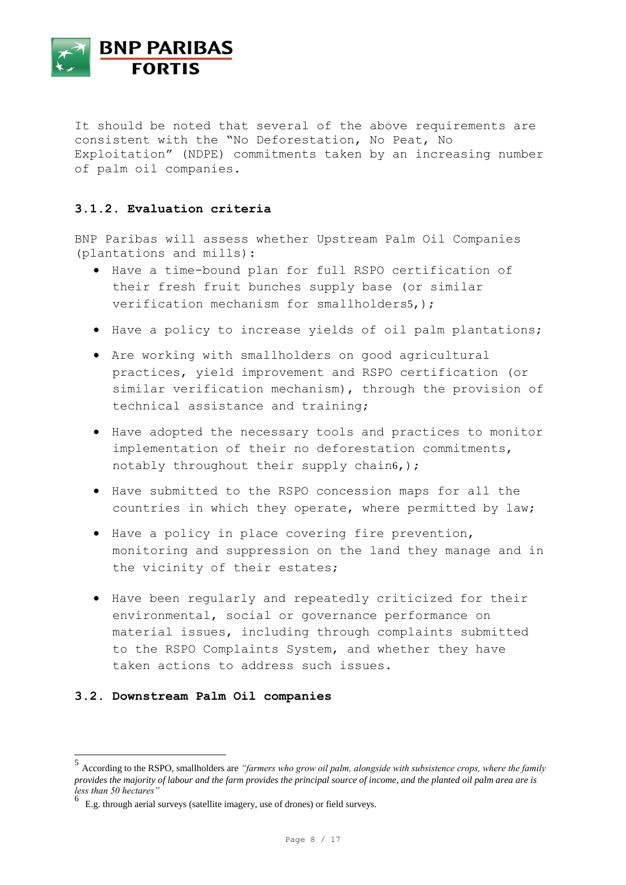

It should be noted that several of the above requirements are consistent with the "No Deforestation, No Peat, No Exploitation" (NDPE) commitments taken by an increasing number of palm oil companies.

### **3.1.2. Evaluation criteria**

BNP Paribas will assess whether Upstream Palm Oil Companies (plantations and mills):

- Have a time-bound plan for full RSPO certification of their fresh fruit bunches supply base (or similar verification mechanism for smallholders5, );
- Have a policy to increase yields of oil palm plantations;
- Are working with smallholders on good agricultural practices, yield improvement and RSPO certification (or similar verification mechanism), through the provision of technical assistance and training;
- Have adopted the necessary tools and practices to monitor implementation of their no deforestation commitments, notably throughout their supply chain6,);
- Have submitted to the RSPO concession maps for all the countries in which they operate, where permitted by law;
- Have a policy in place covering fire prevention, monitoring and suppression on the land they manage and in the vicinity of their estates;
- Have been regularly and repeatedly criticized for their environmental, social or governance performance on material issues, including through complaints submitted to the RSPO Complaints System, and whether they have taken actions to address such issues.

### **3.2. Downstream Palm Oil companies**

 $\overline{\phantom{a}}$ 

<sup>5</sup> According to the RSPO, smallholders are *"farmers who grow oil palm, alongside with subsistence crops, where the family provides the majority of labour and the farm provides the principal source of income, and the planted oil palm area are is less than 50 hectares"* 

<sup>6</sup> E.g. through aerial surveys (satellite imagery, use of drones) or field surveys.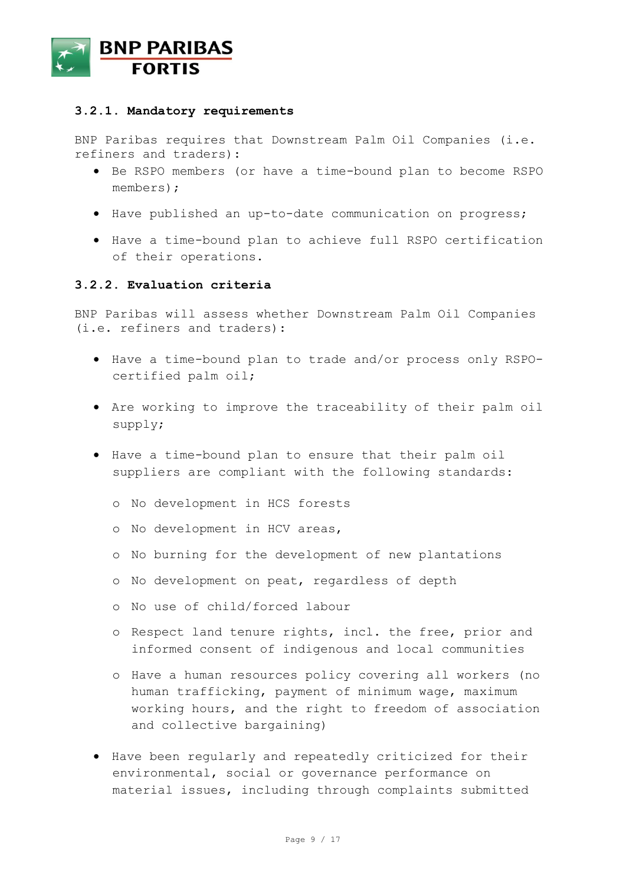

#### **3.2.1. Mandatory requirements**

BNP Paribas requires that Downstream Palm Oil Companies (i.e. refiners and traders):

- Be RSPO members (or have a time-bound plan to become RSPO members);
- Have published an up-to-date communication on progress;
- Have a time-bound plan to achieve full RSPO certification of their operations.

#### **3.2.2. Evaluation criteria**

BNP Paribas will assess whether Downstream Palm Oil Companies (i.e. refiners and traders):

- Have a time-bound plan to trade and/or process only RSPOcertified palm oil;
- Are working to improve the traceability of their palm oil supply;
- Have a time-bound plan to ensure that their palm oil suppliers are compliant with the following standards:
	- o No development in HCS forests
	- o No development in HCV areas,
	- o No burning for the development of new plantations
	- o No development on peat, regardless of depth
	- o No use of child/forced labour
	- o Respect land tenure rights, incl. the free, prior and informed consent of indigenous and local communities
	- o Have a human resources policy covering all workers (no human trafficking, payment of minimum wage, maximum working hours, and the right to freedom of association and collective bargaining)
- Have been regularly and repeatedly criticized for their environmental, social or governance performance on material issues, including through complaints submitted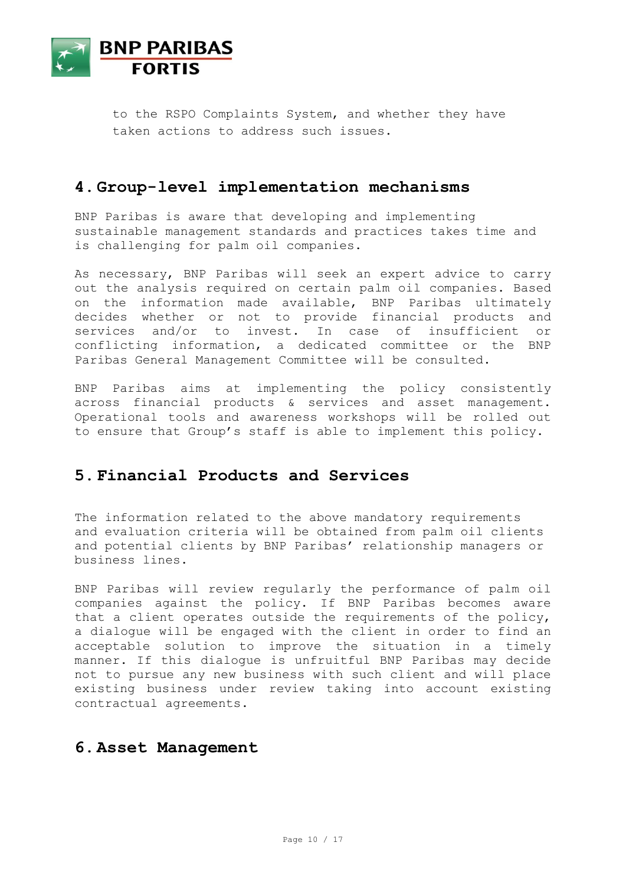

to the RSPO Complaints System, and whether they have taken actions to address such issues.

### **4.Group-level implementation mechanisms**

BNP Paribas is aware that developing and implementing sustainable management standards and practices takes time and is challenging for palm oil companies.

As necessary, BNP Paribas will seek an expert advice to carry out the analysis required on certain palm oil companies. Based on the information made available, BNP Paribas ultimately decides whether or not to provide financial products and services and/or to invest. In case of insufficient or conflicting information, a dedicated committee or the BNP Paribas General Management Committee will be consulted.

BNP Paribas aims at implementing the policy consistently across financial products & services and asset management. Operational tools and awareness workshops will be rolled out to ensure that Group's staff is able to implement this policy.

## **5.Financial Products and Services**

The information related to the above mandatory requirements and evaluation criteria will be obtained from palm oil clients and potential clients by BNP Paribas' relationship managers or business lines.

BNP Paribas will review regularly the performance of palm oil companies against the policy. If BNP Paribas becomes aware that a client operates outside the requirements of the policy, a dialogue will be engaged with the client in order to find an acceptable solution to improve the situation in a timely manner. If this dialogue is unfruitful BNP Paribas may decide not to pursue any new business with such client and will place existing business under review taking into account existing contractual agreements.

### **6.Asset Management**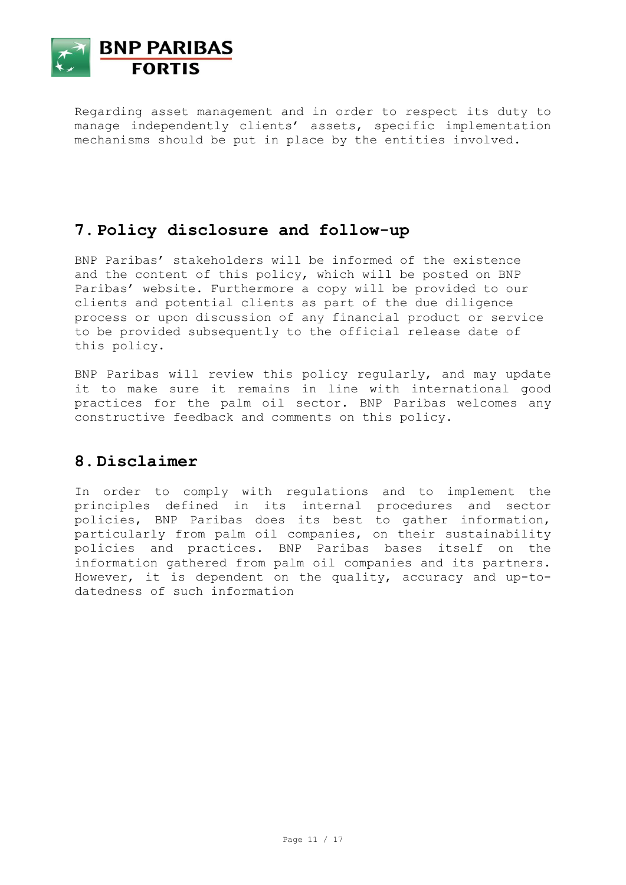

Regarding asset management and in order to respect its duty to manage independently clients' assets, specific implementation mechanisms should be put in place by the entities involved.

# **7.Policy disclosure and follow-up**

BNP Paribas' stakeholders will be informed of the existence and the content of this policy, which will be posted on BNP Paribas' website. Furthermore a copy will be provided to our clients and potential clients as part of the due diligence process or upon discussion of any financial product or service to be provided subsequently to the official release date of this policy.

BNP Paribas will review this policy regularly, and may update it to make sure it remains in line with international good practices for the palm oil sector. BNP Paribas welcomes any constructive feedback and comments on this policy.

## **8.Disclaimer**

In order to comply with regulations and to implement the principles defined in its internal procedures and sector policies, BNP Paribas does its best to gather information, particularly from palm oil companies, on their sustainability policies and practices. BNP Paribas bases itself on the information gathered from palm oil companies and its partners. However, it is dependent on the quality, accuracy and up-todatedness of such information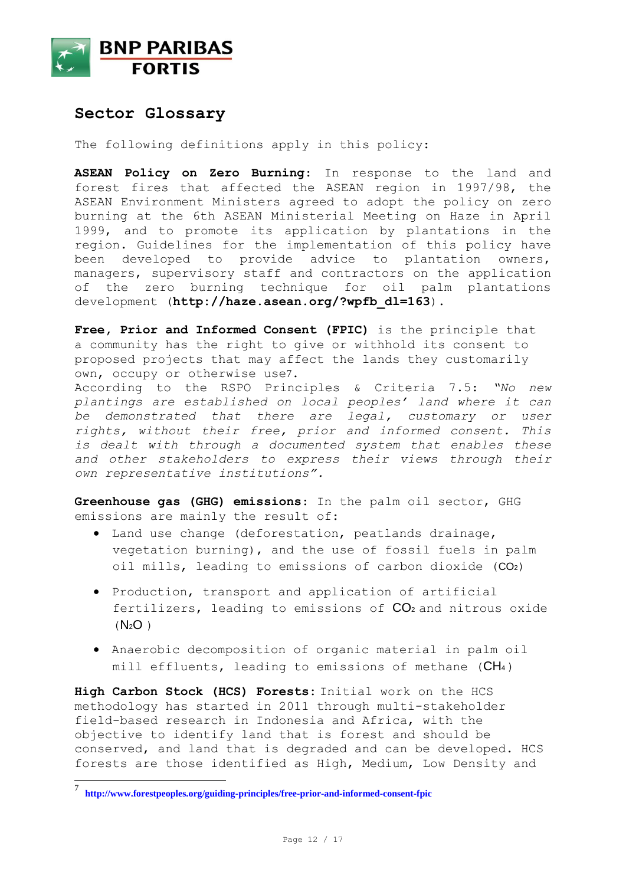

### **Sector Glossary**

The following definitions apply in this policy:

**ASEAN Policy on Zero Burning**: In response to the land and forest fires that affected the ASEAN region in 1997/98, the ASEAN Environment Ministers agreed to adopt the policy on zero burning at the 6th ASEAN Ministerial Meeting on Haze in April 1999, and to promote its application by plantations in the region. Guidelines for the implementation of this policy have been developed to provide advice to plantation owners, managers, supervisory staff and contractors on the application of the zero burning technique for oil palm plantations development (**[http://haze.asean.org/?wpfb\\_dl=163](http://haze.asean.org/?wpfb_dl=163)**).

**Free, Prior and Informed Consent (FPIC)** is the principle that a community has the right to give or withhold its consent to proposed projects that may affect the lands they customarily own, occupy or otherwise use7.

According to the RSPO Principles & Criteria 7.5: *"No new plantings are established on local peoples' land where it can be demonstrated that there are legal, customary or user rights, without their free, prior and informed consent. This is dealt with through a documented system that enables these and other stakeholders to express their views through their own representative institutions".*

**Greenhouse gas (GHG) emissions**: In the palm oil sector, GHG emissions are mainly the result of:

- Land use change (deforestation, peatlands drainage, vegetation burning), and the use of fossil fuels in palm oil mills, leading to emissions of carbon dioxide (CO2)
- Production, transport and application of artificial fertilizers, leading to emissions of  $CO<sub>2</sub>$  and nitrous oxide  $(N_2O)$
- Anaerobic decomposition of organic material in palm oil mill effluents, leading to emissions of methane (CH<sub>4</sub>)

**High Carbon Stock (HCS) Forests:** Initial work on the HCS methodology has started in 2011 through multi-stakeholder field-based research in Indonesia and Africa, with the objective to identify land that is forest and should be conserved, and land that is degraded and can be developed. HCS forests are those identified as High, Medium, Low Density and

 $\overline{a}$ 

<sup>7</sup> **<http://www.forestpeoples.org/guiding-principles/free-prior-and-informed-consent-fpic>**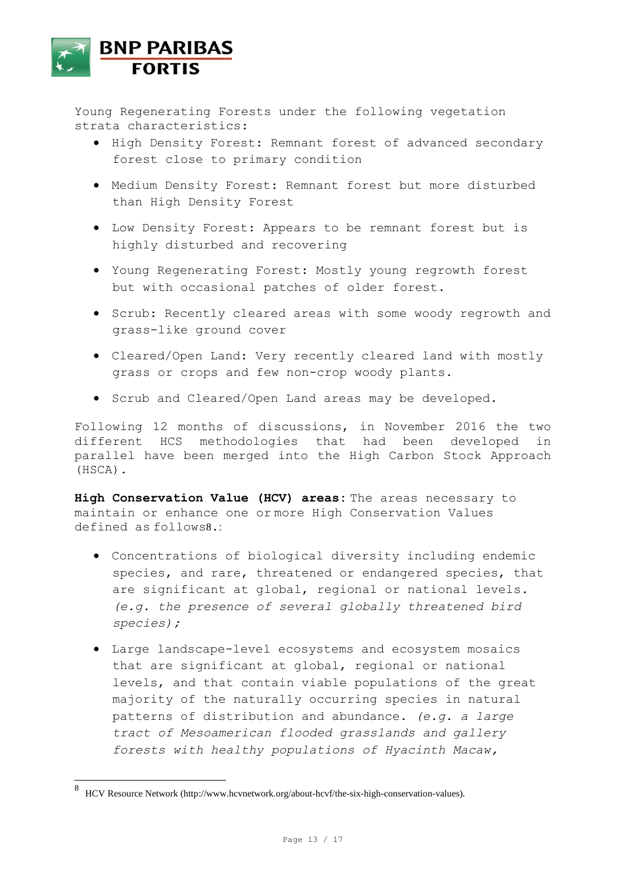

Young Regenerating Forests under the following vegetation strata characteristics:

- High Density Forest: Remnant forest of advanced secondary forest close to primary condition
- Medium Density Forest: Remnant forest but more disturbed than High Density Forest
- Low Density Forest: Appears to be remnant forest but is highly disturbed and recovering
- Young Regenerating Forest: Mostly young regrowth forest but with occasional patches of older forest.
- Scrub: Recently cleared areas with some woody regrowth and grass-like ground cover
- Cleared/Open Land: Very recently cleared land with mostly grass or crops and few non-crop woody plants.
- Scrub and Cleared/Open Land areas may be developed.

Following 12 months of discussions, in November 2016 the two different HCS methodologies that had been developed in parallel have been merged into the High Carbon Stock Approach (HSCA).

**High Conservation Value (HCV) areas:** The areas necessary to maintain or enhance one or more High Conservation Values defined as follows8.:

- Concentrations of biological diversity including endemic species, and rare, threatened or endangered species, that are significant at global, regional or national levels*. (e.g. the presence of several globally threatened bird species);*
- Large landscape-level ecosystems and ecosystem mosaics that are significant at global, regional or national levels, and that contain viable populations of the great majority of the naturally occurring species in natural patterns of distribution and abundance. *(e.g. a large tract of Mesoamerican flooded grasslands and gallery forests with healthy populations of Hyacinth Macaw,*

 $\overline{a}$ 

<sup>8</sup> HCV Resource Network (http://www.hcvnetwork.org/about-hcvf/the-six-high-conservation-values).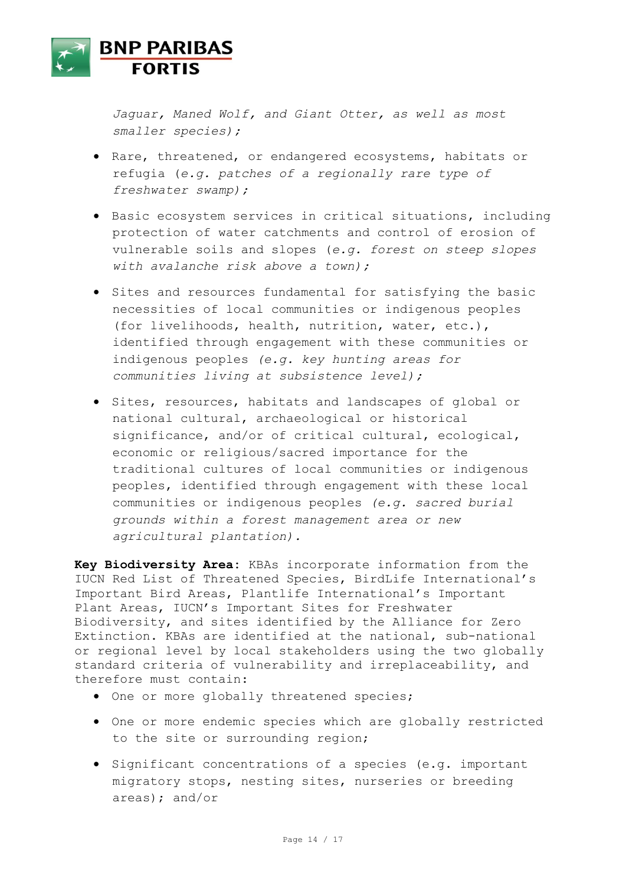

*Jaguar, Maned Wolf, and Giant Otter, as well as most smaller species);*

- Rare, threatened, or endangered ecosystems, habitats or refugia (*e.g. patches of a regionally rare type of freshwater swamp);*
- Basic ecosystem services in critical situations, including protection of water catchments and control of erosion of vulnerable soils and slopes (*e.g. forest on steep slopes with avalanche risk above a town);*
- $\bullet$  Sites and resources fundamental for satisfying the basic necessities of local communities or indigenous peoples (for livelihoods, health, nutrition, water, etc.), identified through engagement with these communities or indigenous peoples *(e.g. key hunting areas for communities living at subsistence level);*
- Sites, resources, habitats and landscapes of global or national cultural, archaeological or historical significance, and/or of critical cultural, ecological, economic or religious/sacred importance for the traditional cultures of local communities or indigenous peoples, identified through engagement with these local communities or indigenous peoples *(e.g. sacred burial grounds within a forest management area or new agricultural plantation).*

**Key Biodiversity Area:** KBAs incorporate information from the IUCN Red List of Threatened Species, BirdLife International's Important Bird Areas, Plantlife International's Important Plant Areas, IUCN's Important Sites for Freshwater Biodiversity, and sites identified by the Alliance for Zero Extinction. KBAs are identified at the national, sub-national or regional level by local stakeholders using the two globally standard criteria of vulnerability and irreplaceability, and therefore must contain:

- $\bullet$  One or more globally threatened species;
- One or more endemic species which are globally restricted to the site or surrounding region;
- Significant concentrations of a species (e.g. important migratory stops, nesting sites, nurseries or breeding areas); and/or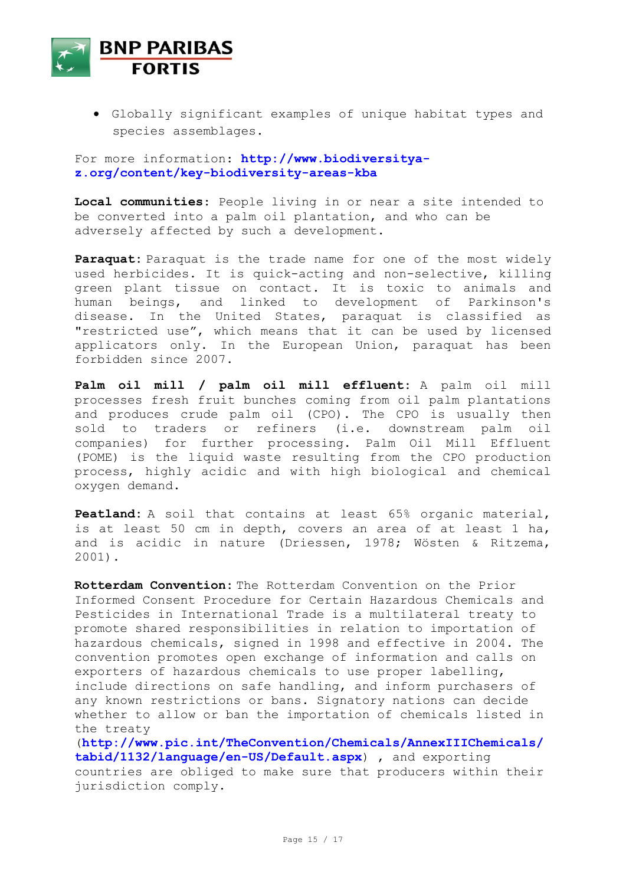

 Globally significant examples of unique habitat types and species assemblages.

For more information: **[http://www.biodiversitya](http://www.biodiversitya-z.org/content/key-biodiversity-areas-kba)[z.org/content/key-biodiversity-areas-kba](http://www.biodiversitya-z.org/content/key-biodiversity-areas-kba)**

**Local communities**: People living in or near a site intended to be converted into a palm oil plantation, and who can be adversely affected by such a development.

**Paraquat:** Paraquat is the trade name for one of the most widely used herbicides. It is quick-acting and non-selective, killing green plant tissue on contact. It is toxic to animals and human beings, and linked to development of Parkinson's disease. In the United States, paraquat is classified as "restricted use", which means that it can be used by licensed applicators only. In the European Union, paraquat has been forbidden since 2007.

**Palm oil mill / palm oil mill effluent:** A palm oil mill processes fresh fruit bunches coming from oil palm plantations and produces crude palm oil (CPO). The CPO is usually then sold to traders or refiners (i.e. downstream palm oil companies) for further processing. Palm Oil Mill Effluent (POME) is the liquid waste resulting from the CPO production process, highly acidic and with high biological and chemical oxygen demand.

**Peatland:** A soil that contains at least 65% organic material, is at least 50 cm in depth, covers an area of at least 1 ha, and is acidic in nature (Driessen, 1978; Wösten & Ritzema, 2001).

**Rotterdam Convention:** The Rotterdam Convention on the Prior Informed Consent Procedure for Certain Hazardous Chemicals and Pesticides in International Trade is a multilateral treaty to promote shared responsibilities in relation to importation of hazardous chemicals, signed in 1998 and effective in 2004. The convention promotes open exchange of information and calls on exporters of hazardous chemicals to use proper labelling, include directions on safe handling, and inform purchasers of any known restrictions or bans. Signatory nations can decide whether to allow or ban the importation of chemicals listed in the treaty

(**[http://www.pic.int/TheConvention/Chemicals/AnnexIIIChemicals/](http://www.pic.int/TheConvention/Chemicals/AnnexIIIChemicals/tabid/1132/language/en-US/Default.aspx) [tabid/1132/language/en-US/Default.aspx](http://www.pic.int/TheConvention/Chemicals/AnnexIIIChemicals/tabid/1132/language/en-US/Default.aspx)**) , and exporting countries are obliged to make sure that producers within their jurisdiction comply.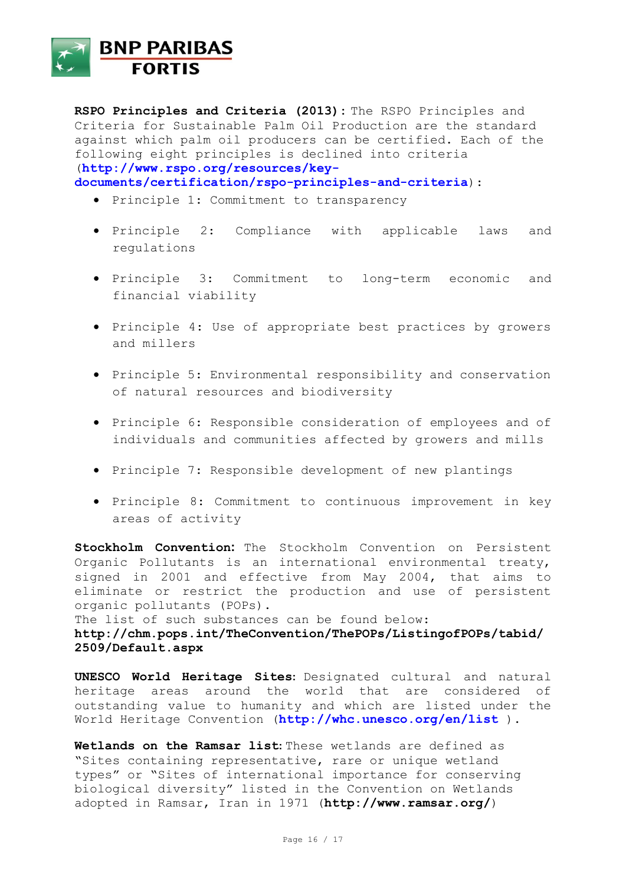

**RSPO Principles and Criteria (2013):** The RSPO Principles and Criteria for Sustainable Palm Oil Production are the standard against which palm oil producers can be certified. Each of the following eight principles is declined into criteria (**[http://www.rspo.org/resources/key-](http://www.rspo.org/resources/key-documents/certification/rspo-principles-and-criteria)**

**[documents/certification/rspo-principles-and-criteria](http://www.rspo.org/resources/key-documents/certification/rspo-principles-and-criteria)**):

- Principle 1: Commitment to transparency
- Principle 2: Compliance with applicable laws and regulations
- Principle 3: Commitment to long-term economic and financial viability
- Principle 4: Use of appropriate best practices by growers and millers
- Principle 5: Environmental responsibility and conservation of natural resources and biodiversity
- Principle 6: Responsible consideration of employees and of individuals and communities affected by growers and mills
- Principle 7: Responsible development of new plantings
- Principle 8: Commitment to continuous improvement in key areas of activity

**Stockholm Convention:** The Stockholm Convention on Persistent Organic Pollutants is an international environmental treaty, signed in 2001 and effective from May 2004, that aims to eliminate or restrict the production and use of persistent organic pollutants (POPs).

The list of such substances can be found below: **[http://chm.pops.int/TheConvention/ThePOPs/ListingofPOPs/tabid/](http://chm.pops.int/TheConvention/ThePOPs/ListingofPOPs/tabid/2509/Default.aspx) [2509/Default.aspx](http://chm.pops.int/TheConvention/ThePOPs/ListingofPOPs/tabid/2509/Default.aspx)**

**UNESCO World Heritage Sites:** Designated cultural and natural heritage areas around the world that are considered of outstanding value to humanity and which are listed under the World Heritage Convention (**<http://whc.unesco.org/en/list>** ).

**Wetlands on the Ramsar list:** These wetlands are defined as "Sites containing representative, rare or unique wetland types" or "Sites of international importance for conserving biological diversity" listed in the Convention on Wetlands adopted in Ramsar, Iran in 1971 (**<http://www.ramsar.org/>**)